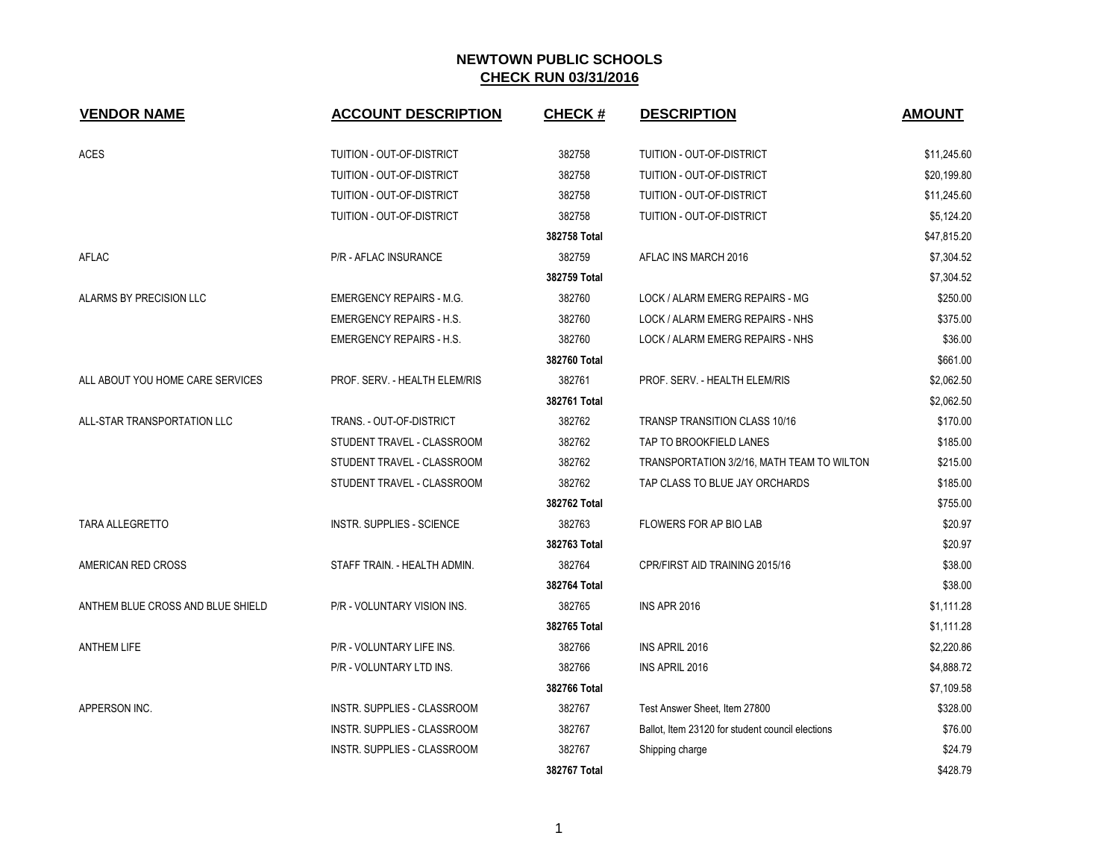| <b>VENDOR NAME</b>                | <b>ACCOUNT DESCRIPTION</b>         | <b>CHECK#</b> | <b>DESCRIPTION</b>                               | <b>AMOUNT</b> |
|-----------------------------------|------------------------------------|---------------|--------------------------------------------------|---------------|
| <b>ACES</b>                       | TUITION - OUT-OF-DISTRICT          | 382758        | TUITION - OUT-OF-DISTRICT                        | \$11,245.60   |
|                                   | TUITION - OUT-OF-DISTRICT          | 382758        | TUITION - OUT-OF-DISTRICT                        | \$20,199.80   |
|                                   | TUITION - OUT-OF-DISTRICT          | 382758        | TUITION - OUT-OF-DISTRICT                        | \$11,245.60   |
|                                   | TUITION - OUT-OF-DISTRICT          | 382758        | TUITION - OUT-OF-DISTRICT                        | \$5,124.20    |
|                                   |                                    | 382758 Total  |                                                  | \$47,815.20   |
| AFLAC                             | P/R - AFLAC INSURANCE              | 382759        | AFLAC INS MARCH 2016                             | \$7,304.52    |
|                                   |                                    | 382759 Total  |                                                  | \$7,304.52    |
| ALARMS BY PRECISION LLC           | <b>EMERGENCY REPAIRS - M.G.</b>    | 382760        | LOCK / ALARM EMERG REPAIRS - MG                  | \$250.00      |
|                                   | <b>EMERGENCY REPAIRS - H.S.</b>    | 382760        | LOCK / ALARM EMERG REPAIRS - NHS                 | \$375.00      |
|                                   | <b>EMERGENCY REPAIRS - H.S.</b>    | 382760        | LOCK / ALARM EMERG REPAIRS - NHS                 | \$36.00       |
|                                   |                                    | 382760 Total  |                                                  | \$661.00      |
| ALL ABOUT YOU HOME CARE SERVICES  | PROF. SERV. - HEALTH ELEM/RIS      | 382761        | PROF. SERV. - HEALTH ELEM/RIS                    | \$2,062.50    |
|                                   |                                    | 382761 Total  |                                                  | \$2,062.50    |
| ALL-STAR TRANSPORTATION LLC       | TRANS. - OUT-OF-DISTRICT           | 382762        | <b>TRANSP TRANSITION CLASS 10/16</b>             | \$170.00      |
|                                   | STUDENT TRAVEL - CLASSROOM         | 382762        | TAP TO BROOKFIELD LANES                          | \$185.00      |
|                                   | STUDENT TRAVEL - CLASSROOM         | 382762        | TRANSPORTATION 3/2/16, MATH TEAM TO WILTON       | \$215.00      |
|                                   | STUDENT TRAVEL - CLASSROOM         | 382762        | TAP CLASS TO BLUE JAY ORCHARDS                   | \$185.00      |
|                                   |                                    | 382762 Total  |                                                  | \$755.00      |
| TARA ALLEGRETTO                   | INSTR. SUPPLIES - SCIENCE          | 382763        | FLOWERS FOR AP BIO LAB                           | \$20.97       |
|                                   |                                    | 382763 Total  |                                                  | \$20.97       |
| AMERICAN RED CROSS                | STAFF TRAIN. - HEALTH ADMIN.       | 382764        | CPR/FIRST AID TRAINING 2015/16                   | \$38.00       |
|                                   |                                    | 382764 Total  |                                                  | \$38.00       |
| ANTHEM BLUE CROSS AND BLUE SHIELD | P/R - VOLUNTARY VISION INS.        | 382765        | <b>INS APR 2016</b>                              | \$1,111.28    |
|                                   |                                    | 382765 Total  |                                                  | \$1,111.28    |
| <b>ANTHEM LIFE</b>                | P/R - VOLUNTARY LIFE INS.          | 382766        | INS APRIL 2016                                   | \$2,220.86    |
|                                   | P/R - VOLUNTARY LTD INS.           | 382766        | INS APRIL 2016                                   | \$4,888.72    |
|                                   |                                    | 382766 Total  |                                                  | \$7,109.58    |
| APPERSON INC.                     | <b>INSTR. SUPPLIES - CLASSROOM</b> | 382767        | Test Answer Sheet, Item 27800                    | \$328.00      |
|                                   | <b>INSTR. SUPPLIES - CLASSROOM</b> | 382767        | Ballot, Item 23120 for student council elections | \$76.00       |
|                                   | <b>INSTR. SUPPLIES - CLASSROOM</b> | 382767        | Shipping charge                                  | \$24.79       |
|                                   |                                    | 382767 Total  |                                                  | \$428.79      |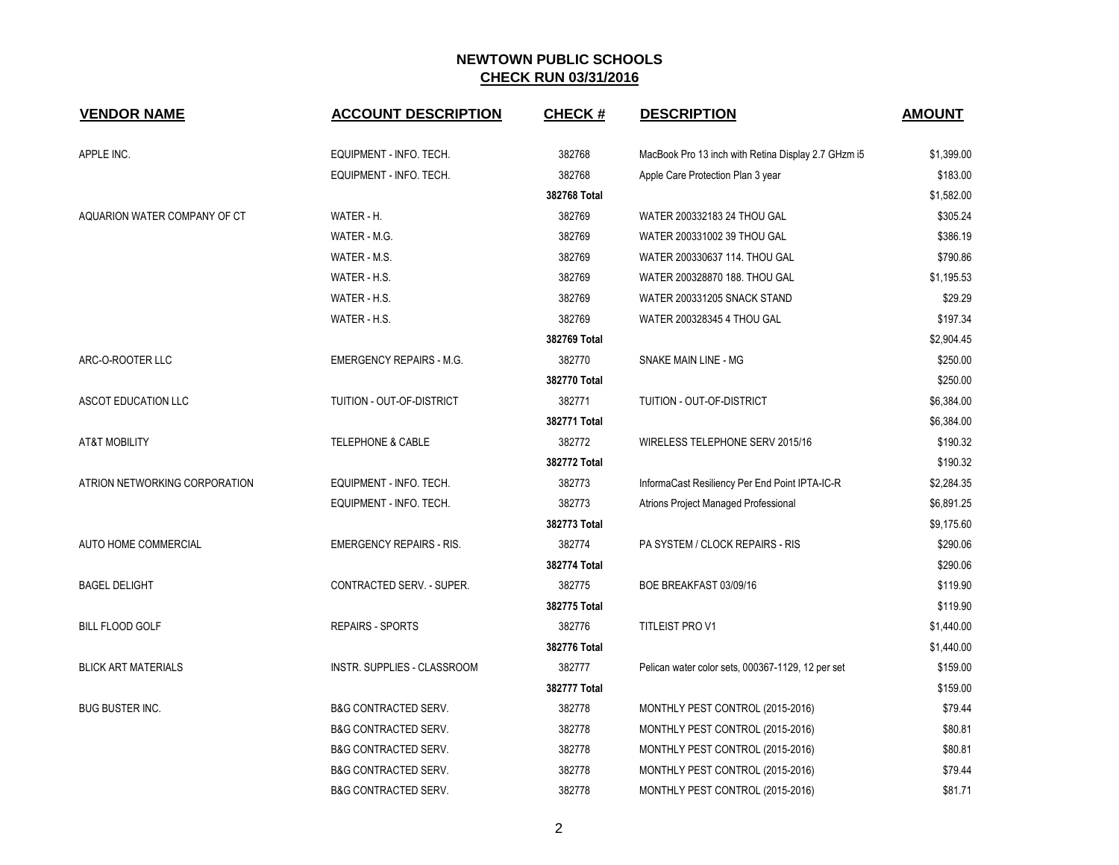| <b>VENDOR NAME</b>            | <b>ACCOUNT DESCRIPTION</b>      | <b>CHECK#</b> | <b>DESCRIPTION</b>                                  | <b>AMOUNT</b> |
|-------------------------------|---------------------------------|---------------|-----------------------------------------------------|---------------|
| APPLE INC.                    | EQUIPMENT - INFO. TECH.         | 382768        | MacBook Pro 13 inch with Retina Display 2.7 GHzm i5 | \$1,399.00    |
|                               | EQUIPMENT - INFO. TECH.         | 382768        | Apple Care Protection Plan 3 year                   | \$183.00      |
|                               |                                 | 382768 Total  |                                                     | \$1,582.00    |
| AQUARION WATER COMPANY OF CT  | WATER - H.                      | 382769        | WATER 200332183 24 THOU GAL                         | \$305.24      |
|                               | WATER - M.G.                    | 382769        | WATER 200331002 39 THOU GAL                         | \$386.19      |
|                               | WATER - M.S.                    | 382769        | WATER 200330637 114. THOU GAL                       | \$790.86      |
|                               | WATER - H.S.                    | 382769        | WATER 200328870 188. THOU GAL                       | \$1,195.53    |
|                               | WATER - H.S.                    | 382769        | WATER 200331205 SNACK STAND                         | \$29.29       |
|                               | WATER - H.S.                    | 382769        | WATER 200328345 4 THOU GAL                          | \$197.34      |
|                               |                                 | 382769 Total  |                                                     | \$2,904.45    |
| ARC-O-ROOTER LLC              | <b>EMERGENCY REPAIRS - M.G.</b> | 382770        | SNAKE MAIN LINE - MG                                | \$250.00      |
|                               |                                 | 382770 Total  |                                                     | \$250.00      |
| ASCOT EDUCATION LLC           | TUITION - OUT-OF-DISTRICT       | 382771        | TUITION - OUT-OF-DISTRICT                           | \$6,384.00    |
|                               |                                 | 382771 Total  |                                                     | \$6,384.00    |
| <b>AT&amp;T MOBILITY</b>      | <b>TELEPHONE &amp; CABLE</b>    | 382772        | WIRELESS TELEPHONE SERV 2015/16                     | \$190.32      |
|                               |                                 | 382772 Total  |                                                     | \$190.32      |
| ATRION NETWORKING CORPORATION | EQUIPMENT - INFO. TECH.         | 382773        | InformaCast Resiliency Per End Point IPTA-IC-R      | \$2,284.35    |
|                               | EQUIPMENT - INFO. TECH.         | 382773        | Atrions Project Managed Professional                | \$6,891.25    |
|                               |                                 | 382773 Total  |                                                     | \$9,175.60    |
| AUTO HOME COMMERCIAL          | <b>EMERGENCY REPAIRS - RIS.</b> | 382774        | PA SYSTEM / CLOCK REPAIRS - RIS                     | \$290.06      |
|                               |                                 | 382774 Total  |                                                     | \$290.06      |
| <b>BAGEL DELIGHT</b>          | CONTRACTED SERV. - SUPER.       | 382775        | BOE BREAKFAST 03/09/16                              | \$119.90      |
|                               |                                 | 382775 Total  |                                                     | \$119.90      |
| <b>BILL FLOOD GOLF</b>        | <b>REPAIRS - SPORTS</b>         | 382776        | <b>TITLEIST PRO V1</b>                              | \$1,440.00    |
|                               |                                 | 382776 Total  |                                                     | \$1,440.00    |
| <b>BLICK ART MATERIALS</b>    | INSTR. SUPPLIES - CLASSROOM     | 382777        | Pelican water color sets, 000367-1129, 12 per set   | \$159.00      |
|                               |                                 | 382777 Total  |                                                     | \$159.00      |
| BUG BUSTER INC.               | <b>B&amp;G CONTRACTED SERV.</b> | 382778        | MONTHLY PEST CONTROL (2015-2016)                    | \$79.44       |
|                               | <b>B&amp;G CONTRACTED SERV.</b> | 382778        | MONTHLY PEST CONTROL (2015-2016)                    | \$80.81       |
|                               | <b>B&amp;G CONTRACTED SERV.</b> | 382778        | MONTHLY PEST CONTROL (2015-2016)                    | \$80.81       |
|                               | <b>B&amp;G CONTRACTED SERV.</b> | 382778        | MONTHLY PEST CONTROL (2015-2016)                    | \$79.44       |
|                               | <b>B&amp;G CONTRACTED SERV.</b> | 382778        | MONTHLY PEST CONTROL (2015-2016)                    | \$81.71       |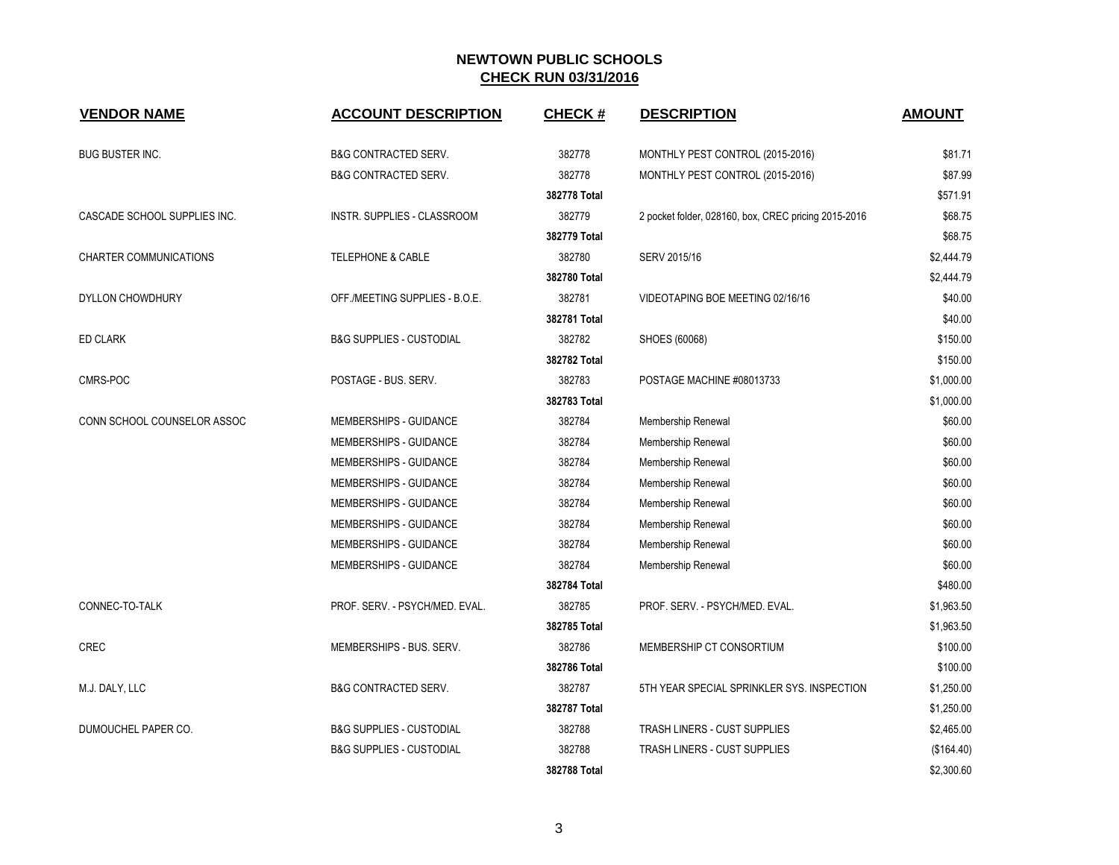| <b>VENDOR NAME</b>           | <b>ACCOUNT DESCRIPTION</b>          | <b>CHECK#</b> | <b>DESCRIPTION</b>                                   | <b>AMOUNT</b> |
|------------------------------|-------------------------------------|---------------|------------------------------------------------------|---------------|
| <b>BUG BUSTER INC.</b>       | <b>B&amp;G CONTRACTED SERV.</b>     | 382778        | MONTHLY PEST CONTROL (2015-2016)                     | \$81.71       |
|                              | <b>B&amp;G CONTRACTED SERV.</b>     | 382778        | MONTHLY PEST CONTROL (2015-2016)                     | \$87.99       |
|                              |                                     | 382778 Total  |                                                      | \$571.91      |
| CASCADE SCHOOL SUPPLIES INC. | INSTR. SUPPLIES - CLASSROOM         | 382779        | 2 pocket folder, 028160, box, CREC pricing 2015-2016 | \$68.75       |
|                              |                                     | 382779 Total  |                                                      | \$68.75       |
| CHARTER COMMUNICATIONS       | <b>TELEPHONE &amp; CABLE</b>        | 382780        | SERV 2015/16                                         | \$2,444.79    |
|                              |                                     | 382780 Total  |                                                      | \$2,444.79    |
| <b>DYLLON CHOWDHURY</b>      | OFF./MEETING SUPPLIES - B.O.E.      | 382781        | VIDEOTAPING BOE MEETING 02/16/16                     | \$40.00       |
|                              |                                     | 382781 Total  |                                                      | \$40.00       |
| <b>ED CLARK</b>              | <b>B&amp;G SUPPLIES - CUSTODIAL</b> | 382782        | SHOES (60068)                                        | \$150.00      |
|                              |                                     | 382782 Total  |                                                      | \$150.00      |
| CMRS-POC                     | POSTAGE - BUS. SERV.                | 382783        | POSTAGE MACHINE #08013733                            | \$1,000.00    |
|                              |                                     | 382783 Total  |                                                      | \$1,000.00    |
| CONN SCHOOL COUNSELOR ASSOC  | MEMBERSHIPS - GUIDANCE              | 382784        | Membership Renewal                                   | \$60.00       |
|                              | MEMBERSHIPS - GUIDANCE              | 382784        | Membership Renewal                                   | \$60.00       |
|                              | MEMBERSHIPS - GUIDANCE              | 382784        | Membership Renewal                                   | \$60.00       |
|                              | MEMBERSHIPS - GUIDANCE              | 382784        | Membership Renewal                                   | \$60.00       |
|                              | MEMBERSHIPS - GUIDANCE              | 382784        | Membership Renewal                                   | \$60.00       |
|                              | MEMBERSHIPS - GUIDANCE              | 382784        | Membership Renewal                                   | \$60.00       |
|                              | MEMBERSHIPS - GUIDANCE              | 382784        | Membership Renewal                                   | \$60.00       |
|                              | MEMBERSHIPS - GUIDANCE              | 382784        | Membership Renewal                                   | \$60.00       |
|                              |                                     | 382784 Total  |                                                      | \$480.00      |
| CONNEC-TO-TALK               | PROF. SERV. - PSYCH/MED. EVAL.      | 382785        | PROF. SERV. - PSYCH/MED. EVAL.                       | \$1,963.50    |
|                              |                                     | 382785 Total  |                                                      | \$1,963.50    |
| <b>CREC</b>                  | MEMBERSHIPS - BUS, SERV.            | 382786        | MEMBERSHIP CT CONSORTIUM                             | \$100.00      |
|                              |                                     | 382786 Total  |                                                      | \$100.00      |
| M.J. DALY, LLC               | <b>B&amp;G CONTRACTED SERV.</b>     | 382787        | 5TH YEAR SPECIAL SPRINKLER SYS. INSPECTION           | \$1,250.00    |
|                              |                                     | 382787 Total  |                                                      | \$1,250.00    |
| DUMOUCHEL PAPER CO.          | <b>B&amp;G SUPPLIES - CUSTODIAL</b> | 382788        | TRASH LINERS - CUST SUPPLIES                         | \$2,465.00    |
|                              | <b>B&amp;G SUPPLIES - CUSTODIAL</b> | 382788        | TRASH LINERS - CUST SUPPLIES                         | (\$164.40)    |
|                              |                                     | 382788 Total  |                                                      | \$2,300.60    |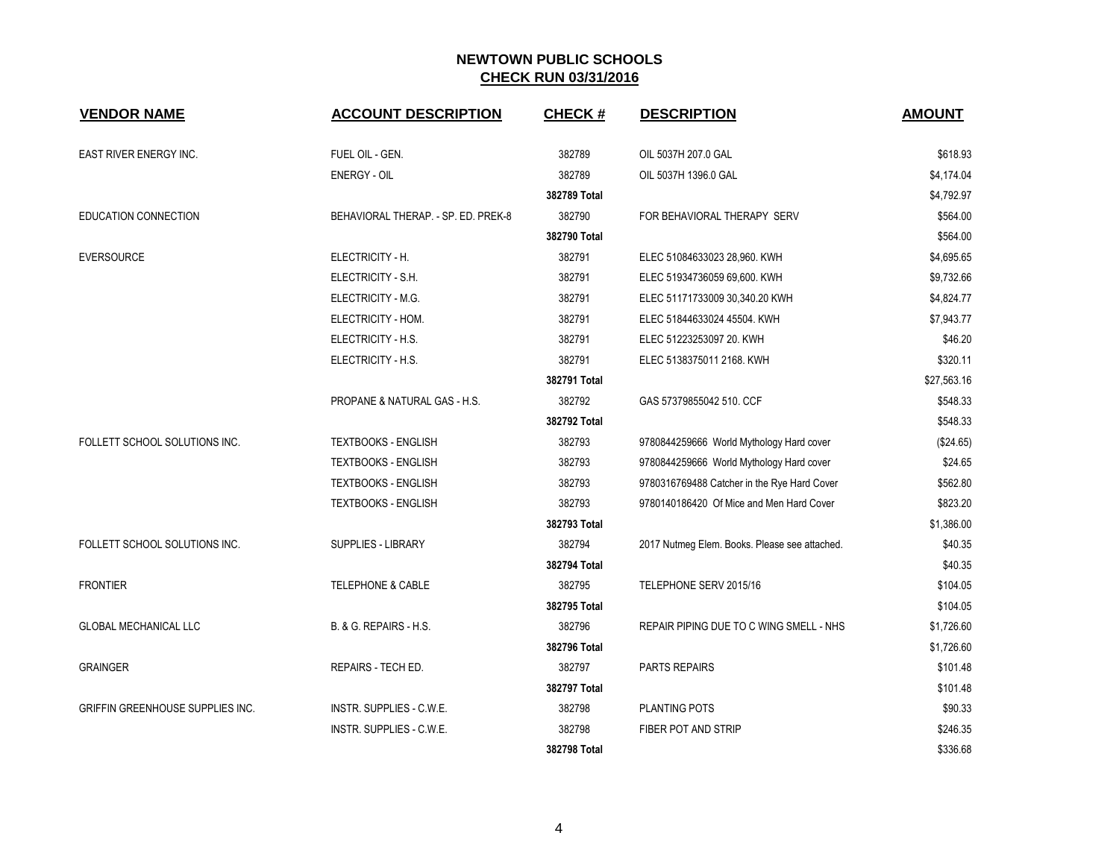| <b>VENDOR NAME</b>               | <b>ACCOUNT DESCRIPTION</b>          | <b>CHECK#</b> | <b>DESCRIPTION</b>                            | <b>AMOUNT</b> |
|----------------------------------|-------------------------------------|---------------|-----------------------------------------------|---------------|
| <b>EAST RIVER ENERGY INC.</b>    | FUEL OIL - GEN.                     | 382789        | OIL 5037H 207.0 GAL                           | \$618.93      |
|                                  | <b>ENERGY - OIL</b>                 | 382789        | OIL 5037H 1396.0 GAL                          | \$4,174.04    |
|                                  |                                     | 382789 Total  |                                               | \$4,792.97    |
| <b>EDUCATION CONNECTION</b>      | BEHAVIORAL THERAP. - SP. ED. PREK-8 | 382790        | FOR BEHAVIORAL THERAPY SERV                   | \$564.00      |
|                                  |                                     | 382790 Total  |                                               | \$564.00      |
| <b>EVERSOURCE</b>                | ELECTRICITY - H.                    | 382791        | ELEC 51084633023 28,960. KWH                  | \$4,695.65    |
|                                  | ELECTRICITY - S.H.                  | 382791        | ELEC 51934736059 69,600. KWH                  | \$9,732.66    |
|                                  | ELECTRICITY - M.G.                  | 382791        | ELEC 51171733009 30,340.20 KWH                | \$4,824.77    |
|                                  | ELECTRICITY - HOM.                  | 382791        | ELEC 51844633024 45504. KWH                   | \$7,943.77    |
|                                  | ELECTRICITY - H.S.                  | 382791        | ELEC 51223253097 20. KWH                      | \$46.20       |
|                                  | ELECTRICITY - H.S.                  | 382791        | ELEC 5138375011 2168. KWH                     | \$320.11      |
|                                  |                                     | 382791 Total  |                                               | \$27,563.16   |
|                                  | PROPANE & NATURAL GAS - H.S.        | 382792        | GAS 57379855042 510. CCF                      | \$548.33      |
|                                  |                                     | 382792 Total  |                                               | \$548.33      |
| FOLLETT SCHOOL SOLUTIONS INC.    | <b>TEXTBOOKS - ENGLISH</b>          | 382793        | 9780844259666 World Mythology Hard cover      | (\$24.65)     |
|                                  | <b>TEXTBOOKS - ENGLISH</b>          | 382793        | 9780844259666 World Mythology Hard cover      | \$24.65       |
|                                  | <b>TEXTBOOKS - ENGLISH</b>          | 382793        | 9780316769488 Catcher in the Rye Hard Cover   | \$562.80      |
|                                  | <b>TEXTBOOKS - ENGLISH</b>          | 382793        | 9780140186420 Of Mice and Men Hard Cover      | \$823.20      |
|                                  |                                     | 382793 Total  |                                               | \$1,386.00    |
| FOLLETT SCHOOL SOLUTIONS INC.    | SUPPLIES - LIBRARY                  | 382794        | 2017 Nutmeg Elem. Books. Please see attached. | \$40.35       |
|                                  |                                     | 382794 Total  |                                               | \$40.35       |
| <b>FRONTIER</b>                  | <b>TELEPHONE &amp; CABLE</b>        | 382795        | TELEPHONE SERV 2015/16                        | \$104.05      |
|                                  |                                     | 382795 Total  |                                               | \$104.05      |
| <b>GLOBAL MECHANICAL LLC</b>     | <b>B. &amp; G. REPAIRS - H.S.</b>   | 382796        | REPAIR PIPING DUE TO C WING SMELL - NHS       | \$1,726.60    |
|                                  |                                     | 382796 Total  |                                               | \$1,726.60    |
| <b>GRAINGER</b>                  | REPAIRS - TECH ED.                  | 382797        | <b>PARTS REPAIRS</b>                          | \$101.48      |
|                                  |                                     | 382797 Total  |                                               | \$101.48      |
| GRIFFIN GREENHOUSE SUPPLIES INC. | INSTR. SUPPLIES - C.W.E.            | 382798        | PLANTING POTS                                 | \$90.33       |
|                                  | INSTR. SUPPLIES - C.W.E.            | 382798        | FIBER POT AND STRIP                           | \$246.35      |
|                                  |                                     | 382798 Total  |                                               | \$336.68      |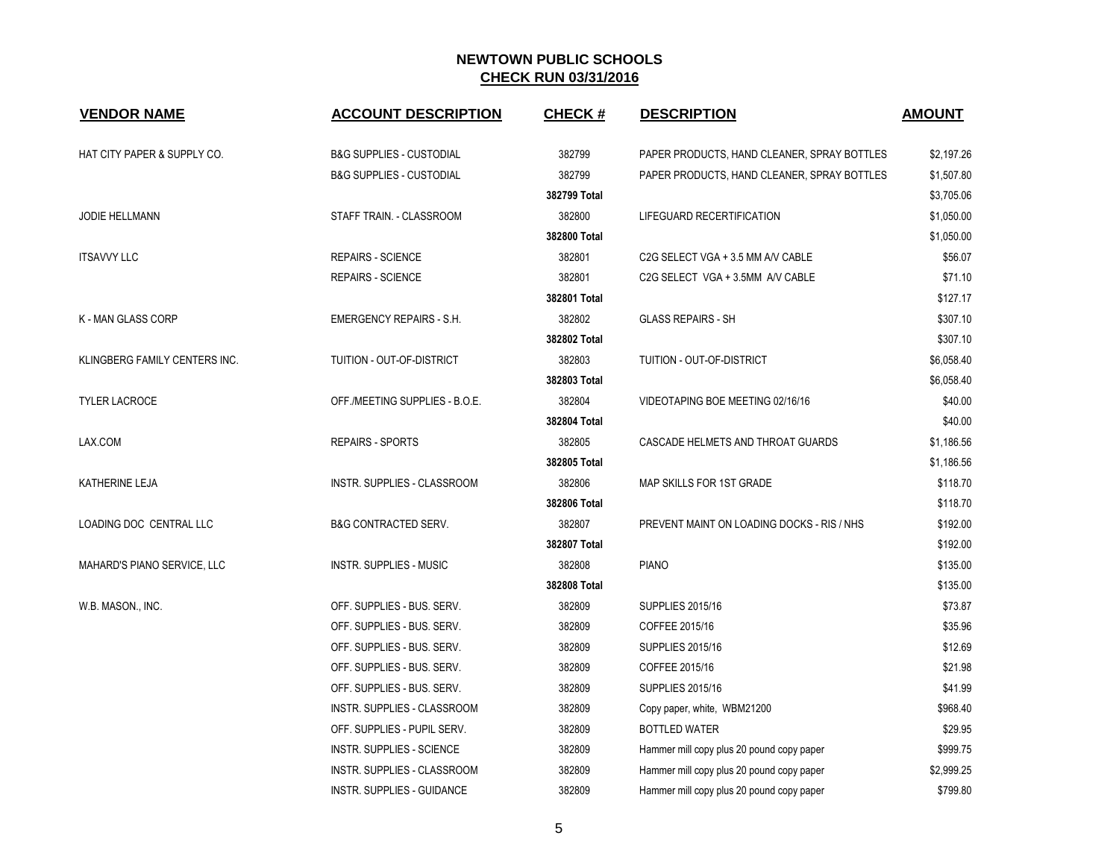| <b>VENDOR NAME</b>                     | <b>ACCOUNT DESCRIPTION</b>          | <b>CHECK#</b> | <b>DESCRIPTION</b>                          | <b>AMOUNT</b> |
|----------------------------------------|-------------------------------------|---------------|---------------------------------------------|---------------|
| <b>HAT CITY PAPER &amp; SUPPLY CO.</b> | <b>B&amp;G SUPPLIES - CUSTODIAL</b> | 382799        | PAPER PRODUCTS, HAND CLEANER, SPRAY BOTTLES | \$2,197.26    |
|                                        | <b>B&amp;G SUPPLIES - CUSTODIAL</b> | 382799        | PAPER PRODUCTS, HAND CLEANER, SPRAY BOTTLES | \$1,507.80    |
|                                        |                                     | 382799 Total  |                                             | \$3,705.06    |
| <b>JODIE HELLMANN</b>                  | STAFF TRAIN. - CLASSROOM            | 382800        | LIFEGUARD RECERTIFICATION                   | \$1,050.00    |
|                                        |                                     | 382800 Total  |                                             | \$1,050.00    |
| <b>ITSAVVY LLC</b>                     | <b>REPAIRS - SCIENCE</b>            | 382801        | C2G SELECT VGA + 3.5 MM A/V CABLE           | \$56.07       |
|                                        | <b>REPAIRS - SCIENCE</b>            | 382801        | C2G SELECT VGA + 3.5MM A/V CABLE            | \$71.10       |
|                                        |                                     | 382801 Total  |                                             | \$127.17      |
| K - MAN GLASS CORP                     | <b>EMERGENCY REPAIRS - S.H.</b>     | 382802        | <b>GLASS REPAIRS - SH</b>                   | \$307.10      |
|                                        |                                     | 382802 Total  |                                             | \$307.10      |
| KLINGBERG FAMILY CENTERS INC.          | TUITION - OUT-OF-DISTRICT           | 382803        | TUITION - OUT-OF-DISTRICT                   | \$6,058.40    |
|                                        |                                     | 382803 Total  |                                             | \$6,058.40    |
| <b>TYLER LACROCE</b>                   | OFF./MEETING SUPPLIES - B.O.E.      | 382804        | VIDEOTAPING BOE MEETING 02/16/16            | \$40.00       |
|                                        |                                     | 382804 Total  |                                             | \$40.00       |
| LAX.COM                                | <b>REPAIRS - SPORTS</b>             | 382805        | CASCADE HELMETS AND THROAT GUARDS           | \$1,186.56    |
|                                        |                                     | 382805 Total  |                                             | \$1,186.56    |
| <b>KATHERINE LEJA</b>                  | <b>INSTR. SUPPLIES - CLASSROOM</b>  | 382806        | MAP SKILLS FOR 1ST GRADE                    | \$118.70      |
|                                        |                                     | 382806 Total  |                                             | \$118.70      |
| LOADING DOC CENTRAL LLC                | <b>B&amp;G CONTRACTED SERV.</b>     | 382807        | PREVENT MAINT ON LOADING DOCKS - RIS / NHS  | \$192.00      |
|                                        |                                     | 382807 Total  |                                             | \$192.00      |
| MAHARD'S PIANO SERVICE, LLC            | <b>INSTR. SUPPLIES - MUSIC</b>      | 382808        | <b>PIANO</b>                                | \$135.00      |
|                                        |                                     | 382808 Total  |                                             | \$135.00      |
| W.B. MASON., INC.                      | OFF. SUPPLIES - BUS. SERV.          | 382809        | <b>SUPPLIES 2015/16</b>                     | \$73.87       |
|                                        | OFF. SUPPLIES - BUS. SERV.          | 382809        | COFFEE 2015/16                              | \$35.96       |
|                                        | OFF. SUPPLIES - BUS. SERV.          | 382809        | <b>SUPPLIES 2015/16</b>                     | \$12.69       |
|                                        | OFF. SUPPLIES - BUS. SERV.          | 382809        | COFFEE 2015/16                              | \$21.98       |
|                                        | OFF. SUPPLIES - BUS. SERV.          | 382809        | <b>SUPPLIES 2015/16</b>                     | \$41.99       |
|                                        | INSTR. SUPPLIES - CLASSROOM         | 382809        | Copy paper, white, WBM21200                 | \$968.40      |
|                                        | OFF. SUPPLIES - PUPIL SERV.         | 382809        | <b>BOTTLED WATER</b>                        | \$29.95       |
|                                        | <b>INSTR. SUPPLIES - SCIENCE</b>    | 382809        | Hammer mill copy plus 20 pound copy paper   | \$999.75      |
|                                        | INSTR. SUPPLIES - CLASSROOM         | 382809        | Hammer mill copy plus 20 pound copy paper   | \$2,999.25    |
|                                        | <b>INSTR. SUPPLIES - GUIDANCE</b>   | 382809        | Hammer mill copy plus 20 pound copy paper   | \$799.80      |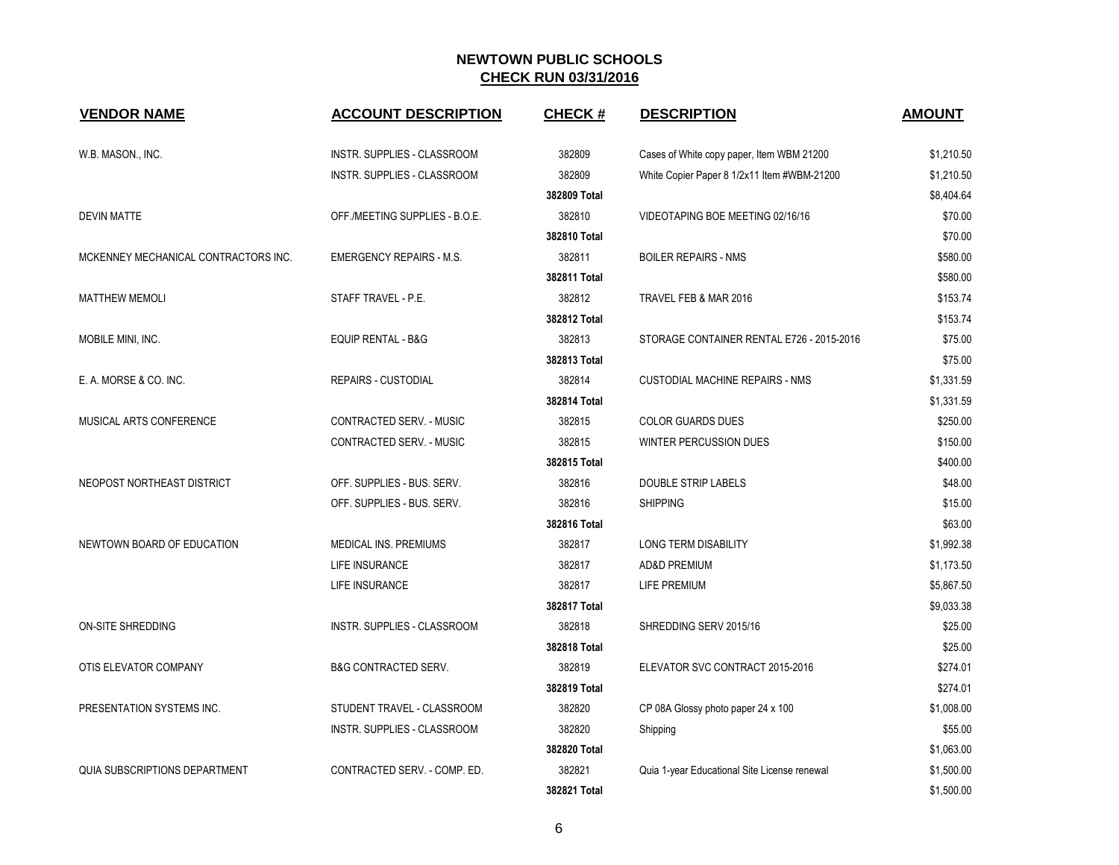| <b>VENDOR NAME</b>                   | <b>ACCOUNT DESCRIPTION</b>      | <b>CHECK#</b> | <b>DESCRIPTION</b>                           | <b>AMOUNT</b> |
|--------------------------------------|---------------------------------|---------------|----------------------------------------------|---------------|
| W.B. MASON., INC.                    | INSTR. SUPPLIES - CLASSROOM     | 382809        | Cases of White copy paper, Item WBM 21200    | \$1,210.50    |
|                                      | INSTR. SUPPLIES - CLASSROOM     | 382809        | White Copier Paper 8 1/2x11 Item #WBM-21200  | \$1,210.50    |
|                                      |                                 | 382809 Total  |                                              | \$8,404.64    |
| <b>DEVIN MATTE</b>                   | OFF./MEETING SUPPLIES - B.O.E.  | 382810        | VIDEOTAPING BOE MEETING 02/16/16             | \$70.00       |
|                                      |                                 | 382810 Total  |                                              | \$70.00       |
| MCKENNEY MECHANICAL CONTRACTORS INC. | <b>EMERGENCY REPAIRS - M.S.</b> | 382811        | <b>BOILER REPAIRS - NMS</b>                  | \$580.00      |
|                                      |                                 | 382811 Total  |                                              | \$580.00      |
| <b>MATTHEW MEMOLI</b>                | STAFF TRAVEL - P.E.             | 382812        | TRAVEL FEB & MAR 2016                        | \$153.74      |
|                                      |                                 | 382812 Total  |                                              | \$153.74      |
| MOBILE MINI, INC.                    | <b>EQUIP RENTAL - B&amp;G</b>   | 382813        | STORAGE CONTAINER RENTAL E726 - 2015-2016    | \$75.00       |
|                                      |                                 | 382813 Total  |                                              | \$75.00       |
| E. A. MORSE & CO. INC.               | <b>REPAIRS - CUSTODIAL</b>      | 382814        | CUSTODIAL MACHINE REPAIRS - NMS              | \$1,331.59    |
|                                      |                                 | 382814 Total  |                                              | \$1,331.59    |
| MUSICAL ARTS CONFERENCE              | CONTRACTED SERV. - MUSIC        | 382815        | <b>COLOR GUARDS DUES</b>                     | \$250.00      |
|                                      | CONTRACTED SERV. - MUSIC        | 382815        | <b>WINTER PERCUSSION DUES</b>                | \$150.00      |
|                                      |                                 | 382815 Total  |                                              | \$400.00      |
| NEOPOST NORTHEAST DISTRICT           | OFF. SUPPLIES - BUS. SERV.      | 382816        | <b>DOUBLE STRIP LABELS</b>                   | \$48.00       |
|                                      | OFF. SUPPLIES - BUS. SERV.      | 382816        | SHIPPING                                     | \$15.00       |
|                                      |                                 | 382816 Total  |                                              | \$63.00       |
| NEWTOWN BOARD OF EDUCATION           | <b>MEDICAL INS. PREMIUMS</b>    | 382817        | <b>LONG TERM DISABILITY</b>                  | \$1,992.38    |
|                                      | <b>LIFE INSURANCE</b>           | 382817        | <b>AD&amp;D PREMIUM</b>                      | \$1,173.50    |
|                                      | LIFE INSURANCE                  | 382817        | LIFE PREMIUM                                 | \$5,867.50    |
|                                      |                                 | 382817 Total  |                                              | \$9,033.38    |
| <b>ON-SITE SHREDDING</b>             | INSTR. SUPPLIES - CLASSROOM     | 382818        | SHREDDING SERV 2015/16                       | \$25.00       |
|                                      |                                 | 382818 Total  |                                              | \$25.00       |
| OTIS ELEVATOR COMPANY                | <b>B&amp;G CONTRACTED SERV.</b> | 382819        | ELEVATOR SVC CONTRACT 2015-2016              | \$274.01      |
|                                      |                                 | 382819 Total  |                                              | \$274.01      |
| PRESENTATION SYSTEMS INC.            | STUDENT TRAVEL - CLASSROOM      | 382820        | CP 08A Glossy photo paper 24 x 100           | \$1,008.00    |
|                                      | INSTR. SUPPLIES - CLASSROOM     | 382820        | Shipping                                     | \$55.00       |
|                                      |                                 | 382820 Total  |                                              | \$1,063.00    |
| QUIA SUBSCRIPTIONS DEPARTMENT        | CONTRACTED SERV. - COMP. ED.    | 382821        | Quia 1-year Educational Site License renewal | \$1,500.00    |
|                                      |                                 | 382821 Total  |                                              | \$1,500.00    |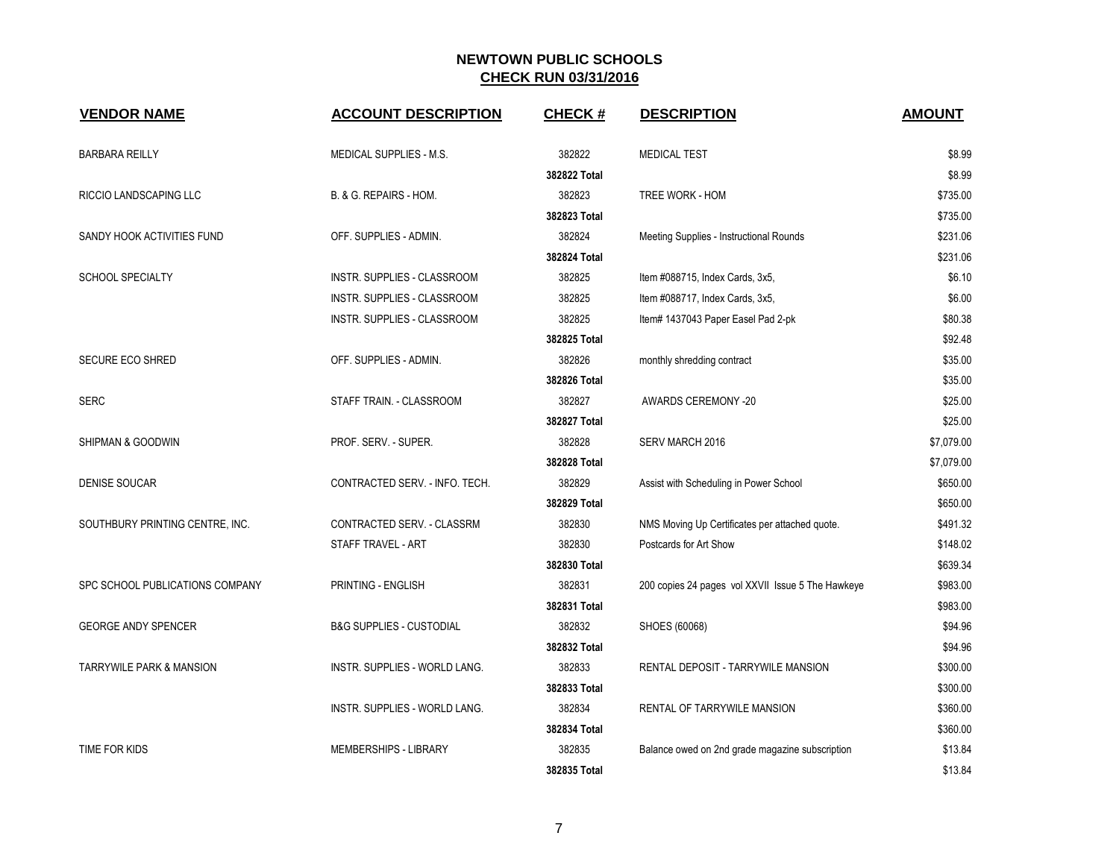| <b>VENDOR NAME</b>                  | <b>ACCOUNT DESCRIPTION</b>          | <b>CHECK#</b> | <b>DESCRIPTION</b>                                | <b>AMOUNT</b> |
|-------------------------------------|-------------------------------------|---------------|---------------------------------------------------|---------------|
| <b>BARBARA REILLY</b>               | MEDICAL SUPPLIES - M.S.             | 382822        | <b>MEDICAL TEST</b>                               | \$8.99        |
|                                     |                                     | 382822 Total  |                                                   | \$8.99        |
| RICCIO LANDSCAPING LLC              | B. & G. REPAIRS - HOM.              | 382823        | TREE WORK - HOM                                   | \$735.00      |
|                                     |                                     | 382823 Total  |                                                   | \$735.00      |
| SANDY HOOK ACTIVITIES FUND          | OFF. SUPPLIES - ADMIN.              | 382824        | Meeting Supplies - Instructional Rounds           | \$231.06      |
|                                     |                                     | 382824 Total  |                                                   | \$231.06      |
| <b>SCHOOL SPECIALTY</b>             | INSTR. SUPPLIES - CLASSROOM         | 382825        | Item #088715, Index Cards, 3x5,                   | \$6.10        |
|                                     | INSTR. SUPPLIES - CLASSROOM         | 382825        | Item #088717, Index Cards, 3x5,                   | \$6.00        |
|                                     | INSTR. SUPPLIES - CLASSROOM         | 382825        | Item# 1437043 Paper Easel Pad 2-pk                | \$80.38       |
|                                     |                                     | 382825 Total  |                                                   | \$92.48       |
| <b>SECURE ECO SHRED</b>             | OFF. SUPPLIES - ADMIN.              | 382826        | monthly shredding contract                        | \$35.00       |
|                                     |                                     | 382826 Total  |                                                   | \$35.00       |
| <b>SERC</b>                         | STAFF TRAIN. - CLASSROOM            | 382827        | <b>AWARDS CEREMONY -20</b>                        | \$25.00       |
|                                     |                                     | 382827 Total  |                                                   | \$25.00       |
| SHIPMAN & GOODWIN                   | PROF. SERV. - SUPER.                | 382828        | SERV MARCH 2016                                   | \$7,079.00    |
|                                     |                                     | 382828 Total  |                                                   | \$7,079.00    |
| <b>DENISE SOUCAR</b>                | CONTRACTED SERV. - INFO. TECH.      | 382829        | Assist with Scheduling in Power School            | \$650.00      |
|                                     |                                     | 382829 Total  |                                                   | \$650.00      |
| SOUTHBURY PRINTING CENTRE, INC.     | CONTRACTED SERV. - CLASSRM          | 382830        | NMS Moving Up Certificates per attached quote.    | \$491.32      |
|                                     | STAFF TRAVEL - ART                  | 382830        | Postcards for Art Show                            | \$148.02      |
|                                     |                                     | 382830 Total  |                                                   | \$639.34      |
| SPC SCHOOL PUBLICATIONS COMPANY     | PRINTING - ENGLISH                  | 382831        | 200 copies 24 pages vol XXVII Issue 5 The Hawkeye | \$983.00      |
|                                     |                                     | 382831 Total  |                                                   | \$983.00      |
| <b>GEORGE ANDY SPENCER</b>          | <b>B&amp;G SUPPLIES - CUSTODIAL</b> | 382832        | SHOES (60068)                                     | \$94.96       |
|                                     |                                     | 382832 Total  |                                                   | \$94.96       |
| <b>TARRYWILE PARK &amp; MANSION</b> | INSTR. SUPPLIES - WORLD LANG.       | 382833        | RENTAL DEPOSIT - TARRYWILE MANSION                | \$300.00      |
|                                     |                                     | 382833 Total  |                                                   | \$300.00      |
|                                     | INSTR. SUPPLIES - WORLD LANG.       | 382834        | RENTAL OF TARRYWILE MANSION                       | \$360.00      |
|                                     |                                     | 382834 Total  |                                                   | \$360.00      |
| TIME FOR KIDS                       | <b>MEMBERSHIPS - LIBRARY</b>        | 382835        | Balance owed on 2nd grade magazine subscription   | \$13.84       |
|                                     |                                     | 382835 Total  |                                                   | \$13.84       |